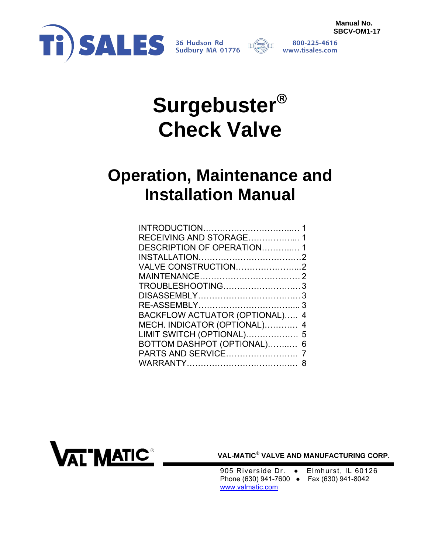

800-225-4616 www.tisales.com

# **Surgebuster Check Valve**

## **Operation, Maintenance and Installation Manual**

| RECEIVING AND STORAGE 1           |  |
|-----------------------------------|--|
| DESCRIPTION OF OPERATION1         |  |
|                                   |  |
| VALVE CONSTRUCTION2               |  |
|                                   |  |
| TROUBLESHOOTING3                  |  |
|                                   |  |
|                                   |  |
| BACKFLOW ACTUATOR (OPTIONAL)<br>4 |  |
| MECH. INDICATOR (OPTIONAL)<br>4   |  |
| LIMIT SWITCH (OPTIONAL) 5         |  |
| BOTTOM DASHPOT (OPTIONAL)<br>6    |  |
|                                   |  |
| 8                                 |  |



**VAL-MATIC® VALVE AND MANUFACTURING CORP.** 

905 Riverside Dr. • Elmhurst, IL 60126 Phone (630) 941-7600 ● Fax (630) 941-8042 www.valmatic.com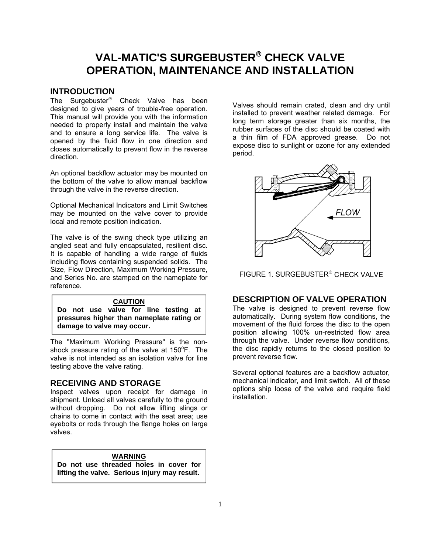## <span id="page-1-0"></span>**VAL-MATIC'S SURGEBUSTER<sup>®</sup> CHECK VALVE OPERATION, MAINTENANCE AND INSTALLATION**

## **INTRODUCTION**

The Surgebuster<sup>®</sup> Check Valve has been designed to give years of trouble-free operation. This manual will provide you with the information needed to properly install and maintain the valve and to ensure a long service life. The valve is opened by the fluid flow in one direction and closes automatically to prevent flow in the reverse direction.

An optional backflow actuator may be mounted on the bottom of the valve to allow manual backflow through the valve in the reverse direction.

Optional Mechanical Indicators and Limit Switches may be mounted on the valve cover to provide local and remote position indication.

The valve is of the swing check type utilizing an angled seat and fully encapsulated, resilient disc. It is capable of handling a wide range of fluids including flows containing suspended solids. The Size, Flow Direction, Maximum Working Pressure, and Series No. are stamped on the nameplate for reference.

#### **CAUTION**

**Do not use valve for line testing at pressures higher than nameplate rating or damage to valve may occur.** 

The "Maximum Working Pressure" is the nonshock pressure rating of the valve at  $150^{\circ}$ F. The valve is not intended as an isolation valve for line testing above the valve rating.

## **RECEIVING AND STORAGE**

Inspect valves upon receipt for damage in shipment. Unload all valves carefully to the ground without dropping. Do not allow lifting slings or chains to come in contact with the seat area; use eyebolts or rods through the flange holes on large valves.

#### **WARNING**

**Do not use threaded holes in cover for lifting the valve. Serious injury may result.** 

Valves should remain crated, clean and dry until installed to prevent weather related damage. For long term storage greater than six months, the rubber surfaces of the disc should be coated with a thin film of FDA approved grease. Do not expose disc to sunlight or ozone for any extended period.



FIGURE 1. SURGEBUSTER<sup>®</sup> CHECK VALVE

## **DESCRIPTION OF VALVE OPERATION**

The valve is designed to prevent reverse flow automatically. During system flow conditions, the movement of the fluid forces the disc to the open position allowing 100% un-restricted flow area through the valve. Under reverse flow conditions, the disc rapidly returns to the closed position to prevent reverse flow.

Several optional features are a backflow actuator, mechanical indicator, and limit switch. All of these options ship loose of the valve and require field installation.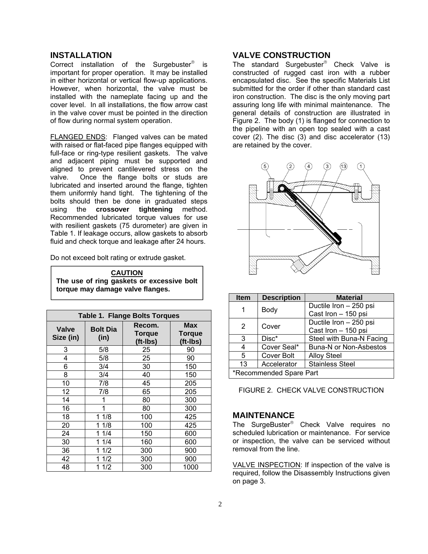## <span id="page-2-0"></span>**INSTALLATION**

Correct installation of the Surgebuster<sup>®</sup> important for proper operation. It may be installed in either horizontal or vertical flow-up applications. However, when horizontal, the valve must be installed with the nameplate facing up and the cover level. In all installations, the flow arrow cast in the valve cover must be pointed in the direction of flow during normal system operation.

FLANGED ENDS: Flanged valves can be mated with raised or flat-faced pipe flanges equipped with full-face or ring-type resilient gaskets. The valve and adjacent piping must be supported and aligned to prevent cantilevered stress on the valve. Once the flange bolts or studs are lubricated and inserted around the flange, tighten them uniformly hand tight. The tightening of the bolts should then be done in graduated steps using the **crossover tightening** method. Recommended lubricated torque values for use with resilient gaskets (75 durometer) are given in Table 1. If leakage occurs, allow gaskets to absorb fluid and check torque and leakage after 24 hours.

Do not exceed bolt rating or extrude gasket.

| <b>CAUTION</b>                            |
|-------------------------------------------|
| The use of ring gaskets or excessive bolt |
| torque may damage valve flanges.          |
|                                           |

| <b>Table 1. Flange Bolts Torques</b> |                         |                                     |                                  |
|--------------------------------------|-------------------------|-------------------------------------|----------------------------------|
| <b>Valve</b><br>Size (in)            | <b>Bolt Dia</b><br>(in) | Recom.<br><b>Torque</b><br>(ft-Ibs) | Max<br><b>Torque</b><br>(ft-Ibs) |
| 3                                    | 5/8                     | 25                                  | 90                               |
| 4                                    | 5/8                     | 25                                  | 90                               |
| 6                                    | 3/4                     | 30                                  | 150                              |
| 8                                    | 3/4                     | 40                                  | 150                              |
| 10                                   | 7/8                     | 45                                  | 205                              |
| 12                                   | 7/8                     | 65                                  | 205                              |
| 14                                   |                         | 80                                  | 300                              |
| 16                                   | 1                       | 80                                  | 300                              |
| 18                                   | 1 1/8                   | 100                                 | 425                              |
| 20                                   | 1 1/8                   | 100                                 | 425                              |
| 24                                   | 11/4                    | 150                                 | 600                              |
| 30                                   | 1 1/4                   | 160                                 | 600                              |
| 36                                   | 1/2                     | 300                                 | 900                              |
| 42                                   | 1/2                     | 300                                 | 900                              |
| 48                                   | 1/2                     | 300                                 | 1000                             |

## **VALVE CONSTRUCTION**

The standard Surgebuster<sup>®</sup> Check Valve is constructed of rugged cast iron with a rubber encapsulated disc. See the specific Materials List submitted for the order if other than standard cast iron construction. The disc is the only moving part assuring long life with minimal maintenance. The general details of construction are illustrated in Figure 2. The body (1) is flanged for connection to the pipeline with an open top sealed with a cast cover (2). The disc (3) and disc accelerator (13) are retained by the cover.



| <b>Item</b>             | <b>Description</b> | <b>Material</b>               |
|-------------------------|--------------------|-------------------------------|
|                         | Body               | Ductile Iron - 250 psi        |
|                         |                    | Cast Iron - 150 psi           |
| 2<br>Cover              |                    | Ductile Iron - 250 psi        |
|                         |                    | Cast Iron - 150 psi           |
| 3                       | Disc*              | Steel with Buna-N Facing      |
|                         | Cover Seal*        | <b>Buna-N or Non-Asbestos</b> |
| 5                       | Cover Bolt         | <b>Alloy Steel</b>            |
| 13                      | Accelerator        | <b>Stainless Steel</b>        |
| *Recommended Spare Part |                    |                               |

FIGURE 2. CHECK VALVE CONSTRUCTION

## **MAINTENANCE**

The SurgeBuster<sup>®</sup> Check Valve requires no scheduled lubrication or maintenance. For service or inspection, the valve can be serviced without removal from the line.

VALVE INSPECTION: If inspection of the valve is required, follow the Disassembly Instructions given on page 3.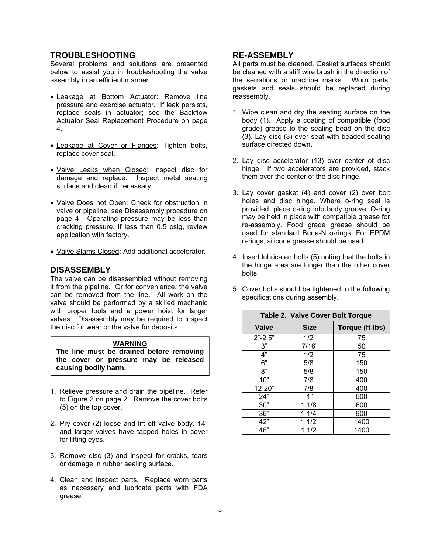## <span id="page-3-0"></span>**TROUBLESHOOTING**

Several problems and solutions are presented below to assist you in troubleshooting the valve assembly in an efficient manner.

- Leakage at Bottom Actuator: Remove line pressure and exercise actuator. If leak persists, replace seals in actuator; see the Backflow Actuator Seal Replacement Procedure on page 4.
- Leakage at Cover or Flanges: Tighten bolts, replace cover seal.
- · Valve Leaks when Closed: Inspect disc for damage and replace. Inspect metal seating surface and clean if necessary.
- Valve Does not Open: Check for obstruction in valve or pipeline; see Disassembly procedure on page 4. Operating pressure may be less than cracking pressure. If less than 0.5 psig, review application with factory.
- Valve Slams Closed: Add additional accelerator.

## **DISASSEMBLY**

The valve can be disassembled without removing it from the pipeline. Or for convenience, the valve can be removed from the line. All work on the valve should be performed by a skilled mechanic with proper tools and a power hoist for larger valves. Disassembly may be required to inspect the disc for wear or the valve for deposits.

#### **WARNING**

**The line must be drained before removing the cover or pressure may be released causing bodily harm.** 

- 1. Relieve pressure and drain the pipeline. Refer to Figure 2 on page 2. Remove the cover bolts (5) on the top cover.
- 2. Pry cover (2) loose and lift off valve body. 14" and larger valves have tapped holes in cover for lifting eyes.
- 3. Remove disc (3) and inspect for cracks, tears or damage in rubber sealing surface.
- 4. Clean and inspect parts. Replace worn parts as necessary and lubricate parts with FDA grease.

## **RE-ASSEMBLY**

All parts must be cleaned. Gasket surfaces should be cleaned with a stiff wire brush in the direction of the serrations or machine marks. Worn parts, gaskets and seals should be replaced during reassembly.

- 1. Wipe clean and dry the seating surface on the body (1). Apply a coating of compatible (food grade) grease to the sealing bead on the disc (3). Lay disc (3) over seat with beaded seating surface directed down.
- 2. Lay disc accelerator (13) over center of disc hinge. If two accelerators are provided, stack them over the center of the disc hinge.
- 3. Lay cover gasket (4) and cover (2) over bolt holes and disc hinge. Where o-ring seal is provided, place o-ring into body groove. O-ring may be held in place with compatible grease for re-assembly. Food grade grease should be used for standard Buna-N o-rings. For EPDM o-rings, silicone grease should be used.
- 4. Insert lubricated bolts (5) noting that the bolts in the hinge area are longer than the other cover bolts.
- 5. Cover bolts should be tightened to the following specifications during assembly.

| <b>Table 2. Valve Cover Bolt Torque</b> |             |                 |
|-----------------------------------------|-------------|-----------------|
| Valve                                   | <b>Size</b> | Torque (ft-lbs) |
| $2" - 2.5"$                             | 1/2"        | 75              |
| 3"                                      | 7/16"       | 50              |
| 4"                                      | 1/2"        | 75              |
| 6"                                      | 5/8"        | 150             |
| 8"                                      | 5/8"        | 150             |
| 10"                                     | 7/8"        | 400             |
| 12-20"                                  | 7/8"        | 400             |
| 24"                                     | 1"          | 500             |
| 30"                                     | 11/8"       | 600             |
| 36"                                     | 11/4"       | 900             |
| 42"                                     | 11/2"       | 1400            |
| 48"                                     | 11/2"       | 1400            |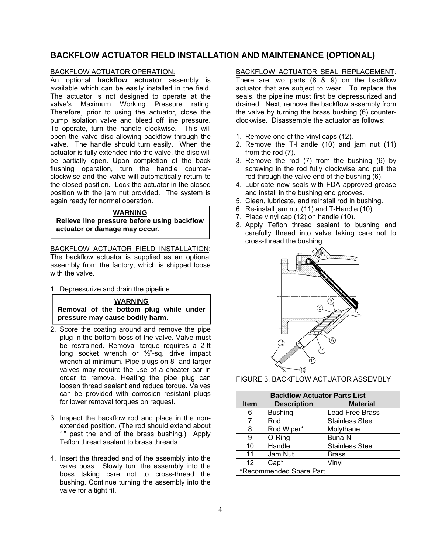## <span id="page-4-0"></span>**BACKFLOW ACTUATOR FIELD INSTALLATION AND MAINTENANCE (OPTIONAL)**

#### BACKFLOW ACTUATOR OPERATION:

An optional **backflow actuator** assembly is available which can be easily installed in the field. The actuator is not designed to operate at the valve's Maximum Working Pressure rating. Therefore, prior to using the actuator, close the pump isolation valve and bleed off line pressure. To operate, turn the handle clockwise. This will open the valve disc allowing backflow through the valve. The handle should turn easily. When the actuator is fully extended into the valve, the disc will be partially open. Upon completion of the back flushing operation, turn the handle counterclockwise and the valve will automatically return to the closed position. Lock the actuator in the closed position with the jam nut provided. The system is again ready for normal operation.

#### **WARNING**

**Relieve line pressure before using backflow actuator or damage may occur.** 

BACKFLOW ACTUATOR FIELD INSTALLATION: The backflow actuator is supplied as an optional assembly from the factory, which is shipped loose with the valve.

1. Depressurize and drain the pipeline.



- 2. Score the coating around and remove the pipe plug in the bottom boss of the valve. Valve must be restrained. Removal torque requires a 2-ft long socket wrench or ½"-sq. drive impact wrench at minimum. Pipe plugs on 8" and larger valves may require the use of a cheater bar in order to remove. Heating the pipe plug can loosen thread sealant and reduce torque. Valves can be provided with corrosion resistant plugs for lower removal torques on request.
- 3. Inspect the backflow rod and place in the nonextended position. (The rod should extend about 1" past the end of the brass bushing.) Apply Teflon thread sealant to brass threads.
- 4. Insert the threaded end of the assembly into the valve boss. Slowly turn the assembly into the boss taking care not to cross-thread the bushing. Continue turning the assembly into the valve for a tight fit.

## BACKFLOW ACTUATOR SEAL REPLACEMENT:

There are two parts (8 & 9) on the backflow actuator that are subject to wear. To replace the seals, the pipeline must first be depressurized and drained. Next, remove the backflow assembly from the valve by turning the brass bushing (6) counterclockwise. Disassemble the actuator as follows:

- 1. Remove one of the vinyl caps (12).
- 2. Remove the T-Handle (10) and jam nut (11) from the rod (7).
- 3. Remove the rod (7) from the bushing (6) by screwing in the rod fully clockwise and pull the rod through the valve end of the bushing (6).
- 4. Lubricate new seals with FDA approved grease and install in the bushing end grooves.
- 5. Clean, lubricate, and reinstall rod in bushing.
- 6. Re-install jam nut (11) and T-Handle (10).
- 7. Place vinyl cap (12) on handle (10).
- 8. Apply Teflon thread sealant to bushing and carefully thread into valve taking care not to cross-thread the bushing



FIGURE 3. BACKFLOW ACTUATOR ASSEMBLY

| <b>Backflow Actuator Parts List</b> |                    |                        |
|-------------------------------------|--------------------|------------------------|
| <b>Item</b>                         | <b>Description</b> | <b>Material</b>        |
| 6                                   | <b>Bushing</b>     | Lead-Free Brass        |
| 7                                   | Rod                | <b>Stainless Steel</b> |
| 8                                   | Rod Wiper*         | Molythane              |
| 9                                   | O-Ring             | Buna-N                 |
| 10                                  | Handle             | <b>Stainless Steel</b> |
| 11                                  | Jam Nut            | <b>Brass</b>           |
| 12                                  | $Cap*$             | Vinyl                  |
| *Recommended Spare Part             |                    |                        |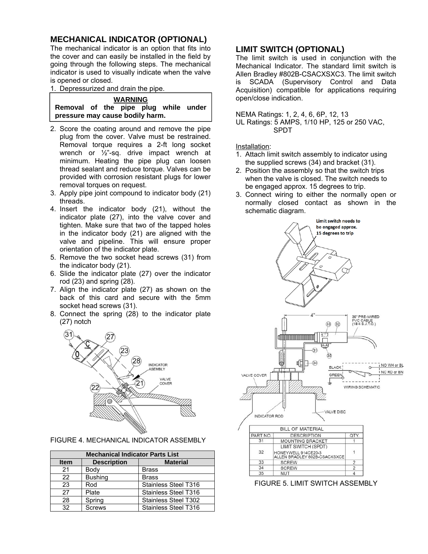## <span id="page-5-0"></span>**MECHANICAL INDICATOR (OPTIONAL)**

The mechanical indicator is an option that fits into the cover and can easily be installed in the field by going through the following steps. The mechanical indicator is used to visually indicate when the valve is opened or closed.

1. Depressurized and drain the pipe.

## **WARNING**

**Removal of the pipe plug while under pressure may cause bodily harm.** 

- 2. Score the coating around and remove the pipe plug from the cover. Valve must be restrained. Removal torque requires a 2-ft long socket wrench or ½"-sq. drive impact wrench at minimum. Heating the pipe plug can loosen thread sealant and reduce torque. Valves can be provided with corrosion resistant plugs for lower removal torques on request.
- 3. Apply pipe joint compound to indicator body (21) threads.
- 4. Insert the indicator body (21), without the indicator plate (27), into the valve cover and tighten. Make sure that two of the tapped holes in the indicator body (21) are aligned with the valve and pipeline. This will ensure proper orientation of the indicator plate.
- 5. Remove the two socket head screws (31) from the indicator body (21).
- 6. Slide the indicator plate (27) over the indicator rod (23) and spring (28).
- 7. Align the indicator plate (27) as shown on the back of this card and secure with the 5mm socket head screws (31).
- 8. Connect the spring (28) to the indicator plate (27) notch



FIGURE 4. MECHANICAL INDICATOR ASSEMBLY

| <b>Mechanical Indicator Parts List</b> |                    |                      |
|----------------------------------------|--------------------|----------------------|
| <b>Item</b>                            | <b>Description</b> | <b>Material</b>      |
| 21                                     | Body               | <b>Brass</b>         |
| 22                                     | <b>Bushing</b>     | <b>Brass</b>         |
| 23                                     | Rod                | Stainless Steel T316 |
| 27                                     | Plate              | Stainless Steel T316 |
| 28                                     | Spring             | Stainless Steel T302 |
| 32                                     | <b>Screws</b>      | Stainless Steel T316 |

## **LIMIT SWITCH (OPTIONAL)**

The limit switch is used in conjunction with the Mechanical Indicator. The standard limit switch is Allen Bradley #802B-CSACXSXC3. The limit switch is SCADA (Supervisory Control and Data Acquisition) compatible for applications requiring open/close indication.

#### NEMA Ratings: 1, 2, 4, 6, 6P, 12, 13

UL Ratings: 5 AMPS, 1/10 HP, 125 or 250 VAC, SPDT

Installation:

- 1. Attach limit switch assembly to indicator using the supplied screws (34) and bracket (31).
- 2. Position the assembly so that the switch trips when the valve is closed. The switch needs to be engaged approx. 15 degrees to trip.
- 3. Connect wiring to either the normally open or normally closed contact as shown in the schematic diagram.



FIGURE 5. LIMIT SWITCH ASSEMBLY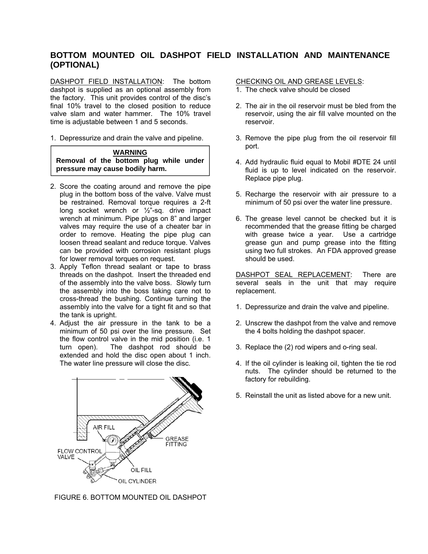## <span id="page-6-0"></span>**BOTTOM MOUNTED OIL DASHPOT FIELD INSTALLATION AND MAINTENANCE (OPTIONAL)**

DASHPOT FIELD INSTALLATION: The bottom dashpot is supplied as an optional assembly from the factory. This unit provides control of the disc's final 10% travel to the closed position to reduce valve slam and water hammer. The 10% travel time is adjustable between 1 and 5 seconds.

1. Depressurize and drain the valve and pipeline.

## **WARNING Removal of the bottom plug while under pressure may cause bodily harm.**

- 2. Score the coating around and remove the pipe plug in the bottom boss of the valve. Valve must be restrained. Removal torque requires a 2-ft long socket wrench or ½"-sq. drive impact wrench at minimum. Pipe plugs on 8" and larger valves may require the use of a cheater bar in order to remove. Heating the pipe plug can loosen thread sealant and reduce torque. Valves can be provided with corrosion resistant plugs for lower removal torques on request.
- 3. Apply Teflon thread sealant or tape to brass threads on the dashpot. Insert the threaded end of the assembly into the valve boss. Slowly turn the assembly into the boss taking care not to cross-thread the bushing. Continue turning the assembly into the valve for a tight fit and so that the tank is upright.
- 4. Adjust the air pressure in the tank to be a minimum of 50 psi over the line pressure. Set the flow control valve in the mid position (i.e. 1 turn open). The dashpot rod should be extended and hold the disc open about 1 inch. The water line pressure will close the disc.



FIGURE 6. BOTTOM MOUNTED OIL DASHPOT

## CHECKING OIL AND GREASE LEVELS:

- 1. The check valve should be closed
- 2. The air in the oil reservoir must be bled from the reservoir, using the air fill valve mounted on the reservoir.
- 3. Remove the pipe plug from the oil reservoir fill port.
- 4. Add hydraulic fluid equal to Mobil #DTE 24 until fluid is up to level indicated on the reservoir. Replace pipe plug.
- 5. Recharge the reservoir with air pressure to a minimum of 50 psi over the water line pressure.
- 6. The grease level cannot be checked but it is recommended that the grease fitting be charged with grease twice a year. Use a cartridge grease gun and pump grease into the fitting using two full strokes. An FDA approved grease should be used.

DASHPOT SEAL REPLACEMENT: There are several seals in the unit that may require replacement.

- 1. Depressurize and drain the valve and pipeline.
- 2. Unscrew the dashpot from the valve and remove the 4 bolts holding the dashpot spacer.
- 3. Replace the (2) rod wipers and o-ring seal.
- 4. If the oil cylinder is leaking oil, tighten the tie rod nuts. The cylinder should be returned to the factory for rebuilding.
- 5. Reinstall the unit as listed above for a new unit.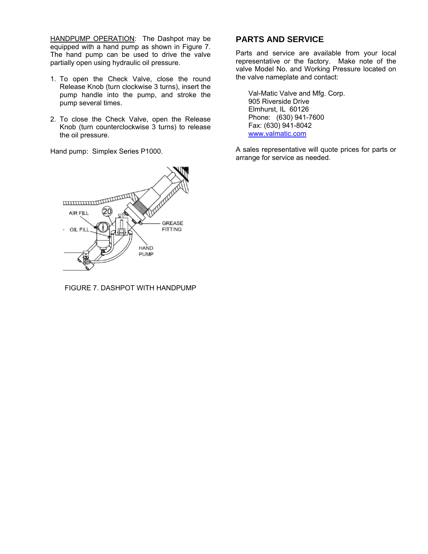<span id="page-7-0"></span>HANDPUMP OPERATION: The Dashpot may be equipped with a hand pump as shown in Figure 7. The hand pump can be used to drive the valve partially open using hydraulic oil pressure.

- 1. To open the Check Valve, close the round Release Knob (turn clockwise 3 turns), insert the pump handle into the pump, and stroke the pump several times.
- 2. To close the Check Valve, open the Release Knob (turn counterclockwise 3 turns) to release the oil pressure.

Hand pump: Simplex Series P1000.



FIGURE 7. DASHPOT WITH HANDPUMP

## **PARTS AND SERVICE**

Parts and service are available from your local representative or the factory. Make note of the valve Model No. and Working Pressure located on the valve nameplate and contact:

Val-Matic Valve and Mfg. Corp. 905 Riverside Drive Elmhurst, IL 60126 Phone: (630) 941-7600 Fax: (630) 941-8042 www.valmatic.com

A sales representative will quote prices for parts or arrange for service as needed.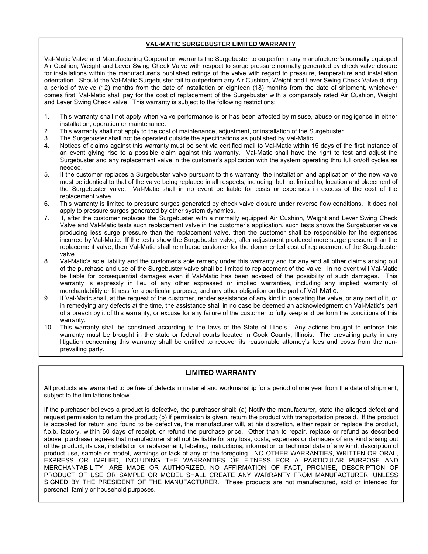## **VAL-MATIC SURGEBUSTER LIMITED WARRANTY**

<span id="page-8-0"></span>Val-Matic Valve and Manufacturing Corporation warrants the Surgebuster to outperform any manufacturer's normally equipped Air Cushion, Weight and Lever Swing Check Valve with respect to surge pressure normally generated by check valve closure for installations within the manufacturer's published ratings of the valve with regard to pressure, temperature and installation orientation. Should the Val-Matic Surgebuster fail to outperform any Air Cushion, Weight and Lever Swing Check Valve during a period of twelve (12) months from the date of installation or eighteen (18) months from the date of shipment, whichever comes first, Val-Matic shall pay for the cost of replacement of the Surgebuster with a comparably rated Air Cushion, Weight and Lever Swing Check valve. This warranty is subject to the following restrictions:

- 1. This warranty shall not apply when valve performance is or has been affected by misuse, abuse or negligence in either installation, operation or maintenance.
- 2. This warranty shall not apply to the cost of maintenance, adjustment, or installation of the Surgebuster.
- 3. The Surgebuster shall not be operated outside the specifications as published by Val-Matic.
- 4. Notices of claims against this warranty must be sent via certified mail to Val-Matic within 15 days of the first instance of an event giving rise to a possible claim against this warranty. Val-Matic shall have the right to test and adjust the Surgebuster and any replacement valve in the customer's application with the system operating thru full on/off cycles as needed.
- 5. If the customer replaces a Surgebuster valve pursuant to this warranty, the installation and application of the new valve must be identical to that of the valve being replaced in all respects, including, but not limited to, location and placement of the Surgebuster valve. Val-Matic shall in no event be liable for costs or expenses in excess of the cost of the replacement valve.
- 6. This warranty is limited to pressure surges generated by check valve closure under reverse flow conditions. It does not apply to pressure surges generated by other system dynamics.
- 7. If, after the customer replaces the Surgebuster with a normally equipped Air Cushion, Weight and Lever Swing Check Valve and Val-Matic tests such replacement valve in the customer's application, such tests shows the Surgebuster valve producing less surge pressure than the replacement valve, then the customer shall be responsible for the expenses incurred by Val-Matic. If the tests show the Surgebuster valve, after adjustment produced more surge pressure than the replacement valve, then Val-Matic shall reimburse customer for the documented cost of replacement of the Surgebuster valve.
- 8. Val-Matic's sole liability and the customer's sole remedy under this warranty and for any and all other claims arising out of the purchase and use of the Surgebuster valve shall be limited to replacement of the valve. In no event will Val-Matic be liable for consequential damages even if Val-Matic has been advised of the possibility of such damages. This warranty is expressly in lieu of any other expressed or implied warranties, including any implied warranty of merchantability or fitness for a particular purpose, and any other obligation on the part of Val-Matic.
- 9. If Val-Matic shall, at the request of the customer, render assistance of any kind in operating the valve, or any part of it, or in remedying any defects at the time, the assistance shall in no case be deemed an acknowledgment on Val-Matic's part of a breach by it of this warranty, or excuse for any failure of the customer to fully keep and perform the conditions of this warranty.
- 10. This warranty shall be construed according to the laws of the State of Illinois. Any actions brought to enforce this warranty must be brought in the state or federal courts located in Cook County, Illinois. The prevailing party in any litigation concerning this warranty shall be entitled to recover its reasonable attorney's fees and costs from the nonprevailing party.

#### **LIMITED WARRANTY**

All products are warranted to be free of defects in material and workmanship for a period of one year from the date of shipment, subject to the limitations below.

If the purchaser believes a product is defective, the purchaser shall: (a) Notify the manufacturer, state the alleged defect and request permission to return the product; (b) if permission is given, return the product with transportation prepaid. If the product is accepted for return and found to be defective, the manufacturer will, at his discretion, either repair or replace the product, f.o.b. factory, within 60 days of receipt, or refund the purchase price. Other than to repair, replace or refund as described above, purchaser agrees that manufacturer shall not be liable for any loss, costs, expenses or damages of any kind arising out of the product, its use, installation or replacement, labeling, instructions, information or technical data of any kind, description of product use, sample or model, warnings or lack of any of the foregoing. NO OTHER WARRANTIES, WRITTEN OR ORAL, EXPRESS OR IMPLIED, INCLUDING THE WARRANTIES OF FITNESS FOR A PARTICULAR PURPOSE AND MERCHANTABILITY, ARE MADE OR AUTHORIZED. NO AFFIRMATION OF FACT, PROMISE, DESCRIPTION OF PRODUCT OF USE OR SAMPLE OR MODEL SHALL CREATE ANY WARRANTY FROM MANUFACTURER, UNLESS SIGNED BY THE PRESIDENT OF THE MANUFACTURER. These products are not manufactured, sold or intended for personal, family or household purposes.